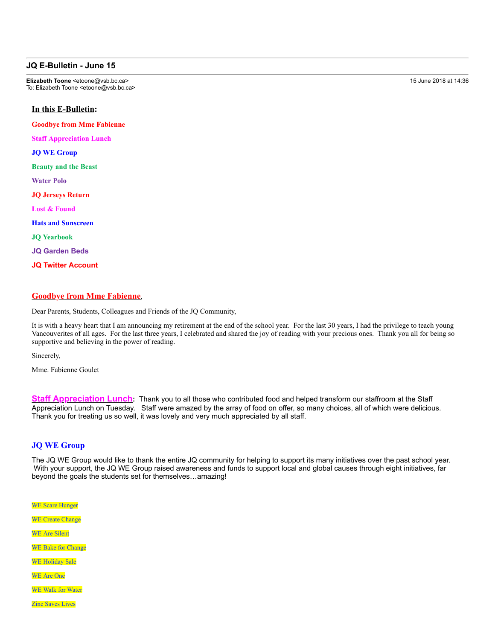## **JQ E-Bulletin - June 15**

**Elizabeth Toone** <etoone@vsb.bc.ca> 15 June 2018 at 14:36 To: Elizabeth Toone <etoone@vsb.bc.ca>

# **In this E-Bulletin:**

**Goodbye from Mme Fabienne**

**Staff Appreciation Lunch**

**JQ WE Group**

**Beauty and the Beast**

**Water Polo**

**JQ Jerseys Return**

**Lost & Found**

**Hats and Sunscreen**

**JQ Yearbook**

**JQ Garden Beds**

**JQ Twitter Account**

## **Goodbye from Mme Fabienne**,

Dear Parents, Students, Colleagues and Friends of the JQ Community,

It is with a heavy heart that I am announcing my retirement at the end of the school year. For the last 30 years, I had the privilege to teach young Vancouverites of all ages. For the last three years, I celebrated and shared the joy of reading with your precious ones. Thank you all for being so supportive and believing in the power of reading.

Sincerely,

Mme. Fabienne Goulet

**Staff Appreciation Lunch:** Thank you to all those who contributed food and helped transform our staffroom at the Staff Appreciation Lunch on Tuesday. Staff were amazed by the array of food on offer, so many choices, all of which were delicious. Thank you for treating us so well, it was lovely and very much appreciated by all staff.

### **JQ WE Group**

The JQ WE Group would like to thank the entire JQ community for helping to support its many initiatives over the past school year. With your support, the JQ WE Group raised awareness and funds to support local and global causes through eight initiatives, far beyond the goals the students set for themselves…amazing!

WE Scare Hunger WE Create Change WE Are Silent WE Bake for Change WE Holiday Sale WE Are One WE Walk for Water

Zinc Saves Lives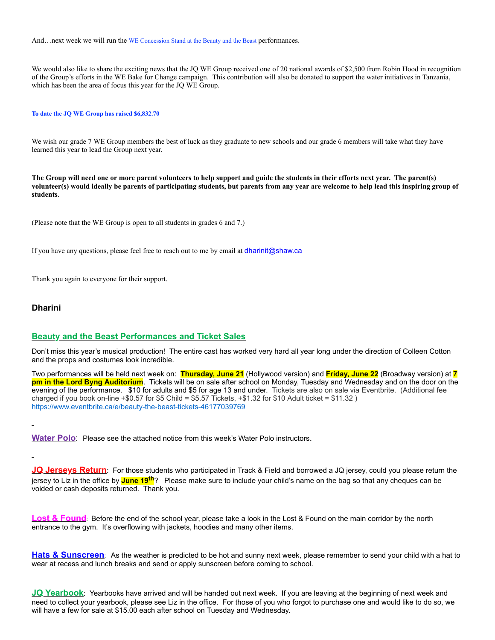And...next week we will run the WE Concession Stand at the Beauty and the Beast performances.

We would also like to share the exciting news that the JQ WE Group received one of 20 national awards of \$2,500 from Robin Hood in recognition of the Group's efforts in the WE Bake for Change campaign. This contribution will also be donated to support the water initiatives in Tanzania, which has been the area of focus this year for the JQ WE Group.

#### **To date the JQ WE Group has raised \$6,832.70**

We wish our grade 7 WE Group members the best of luck as they graduate to new schools and our grade 6 members will take what they have learned this year to lead the Group next year.

**The Group will need one or more parent volunteers to help support and guide the students in their efforts next year. The parent(s) volunteer(s) would ideally be parents of participating students, but parents from any year are welcome to help lead this inspiring group of students**.

(Please note that the WE Group is open to all students in grades 6 and 7.)

If you have any questions, please feel free to reach out to me by email at dharinit@shaw.ca

Thank you again to everyone for their support.

## **Dharini**

## **Beauty and the Beast Performances and Ticket Sales**

Don't miss this year's musical production! The entire cast has worked very hard all year long under the direction of Colleen Cotton and the props and costumes look incredible.

Two performances will be held next week on: **Thursday, June 21** (Hollywood version) and **Friday, June 22** (Broadway version) at **7 pm in the Lord Byng Auditorium**. Tickets will be on sale after school on Monday, Tuesday and Wednesday and on the door on the evening of the performance. \$10 for adults and \$5 for age 13 and under. Tickets are also on sale via Eventbrite. (Additional fee charged if you book on-line  $+$ \$0.57 for \$5 Child = \$5.57 Tickets,  $+$ \$1.32 for \$10 Adult ticket = \$11.32 ) https://www.eventbrite.ca/e/beauty-the-beast-tickets-46177039769

**Water Polo**: Please see the attached notice from this week's Water Polo instructors.

**JQ Jerseys Return**: For those students who participated in Track & Field and borrowed a JQ jersey, could you please return the jersey to Liz in the office by **June 19th**? Please make sure to include your child's name on the bag so that any cheques can be voided or cash deposits returned. Thank you.

**Lost & Found**: Before the end of the school year, please take a look in the Lost & Found on the main corridor by the north entrance to the gym. It's overflowing with jackets, hoodies and many other items.

**Hats & Sunscreen**: As the weather is predicted to be hot and sunny next week, please remember to send your child with a hat to wear at recess and lunch breaks and send or apply sunscreen before coming to school.

**JQ Yearbook**: Yearbooks have arrived and will be handed out next week. If you are leaving at the beginning of next week and need to collect your yearbook, please see Liz in the office. For those of you who forgot to purchase one and would like to do so, we will have a few for sale at \$15.00 each after school on Tuesday and Wednesday.